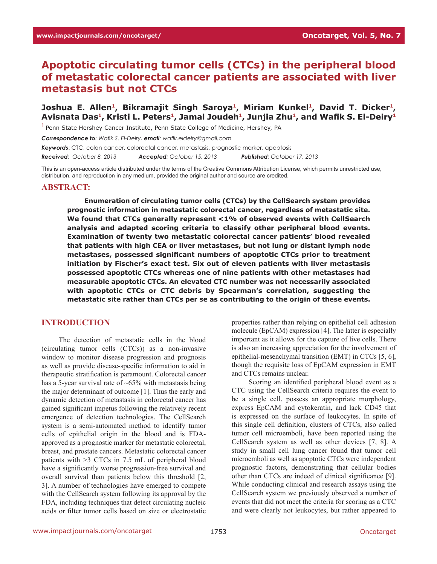# **Apoptotic circulating tumor cells (CTCs) in the peripheral blood of metastatic colorectal cancer patients are associated with liver metastasis but not CTCs**

# Joshua E. Allen<sup>1</sup>, Bikramajit Singh Saroya<sup>1</sup>, Miriam Kunkel<sup>1</sup>, David T. Dicker<sup>1</sup>, Avisnata Das<sup>1</sup>, Kristi L. Peters<sup>1</sup>, Jamal Joudeh<sup>1</sup>, Junjia Zhu<sup>1</sup>, and Wafik S. El-Deiry<sup>1</sup>

**<sup>1</sup>**Penn State Hershey Cancer Institute, Penn State College of Medicine, Hershey, PA

*Correspondence to: Wafik S. El-Deiry, email: wafik.eldeiry@gmail.com*

*Keywords*: CTC, colon cancer, colorectal cancer, metastasis, prognostic marker, apoptosis

*Received: October 8, 2013 Accepted: October 15, 2013 Published: October 17, 2013*

This is an open-access article distributed under the terms of the Creative Commons Attribution License, which permits unrestricted use, distribution, and reproduction in any medium, provided the original author and source are credited.

#### **ABSTRACT:**

**Enumeration of circulating tumor cells (CTCs) by the CellSearch system provides prognostic information in metastatic colorectal cancer, regardless of metastatic site. We found that CTCs generally represent <1% of observed events with CellSearch analysis and adapted scoring criteria to classify other peripheral blood events. Examination of twenty two metastatic colorectal cancer patients' blood revealed that patients with high CEA or liver metastases, but not lung or distant lymph node metastases, possessed significant numbers of apoptotic CTCs prior to treatment initiation by Fischer's exact test. Six out of eleven patients with liver metastasis possessed apoptotic CTCs whereas one of nine patients with other metastases had measurable apoptotic CTCs. An elevated CTC number was not necessarily associated with apoptotic CTCs or CTC debris by Spearman's correlation, suggesting the metastatic site rather than CTCs per se as contributing to the origin of these events.**

#### **INTRODUCTION**

The detection of metastatic cells in the blood (circulating tumor cells (CTCs)) as a non-invasive window to monitor disease progression and prognosis as well as provide disease-specific information to aid in therapeutic stratification is paramount. Colorectal cancer has a 5-year survival rate of  $\sim 65\%$  with metastasis being the major determinant of outcome [1]. Thus the early and dynamic detection of metastasis in colorectal cancer has gained significant impetus following the relatively recent emergence of detection technologies. The CellSearch system is a semi-automated method to identify tumor cells of epithelial origin in the blood and is FDAapproved as a prognostic marker for metastatic colorectal, breast, and prostate cancers. Metastatic colorectal cancer patients with >3 CTCs in 7.5 mL of peripheral blood have a significantly worse progression-free survival and overall survival than patients below this threshold [2, 3]. A number of technologies have emerged to compete with the CellSearch system following its approval by the FDA, including techniques that detect circulating nucleic acids or filter tumor cells based on size or electrostatic

properties rather than relying on epithelial cell adhesion molecule (EpCAM) expression [4]. The latter is especially important as it allows for the capture of live cells. There is also an increasing appreciation for the involvement of epithelial-mesenchymal transition (EMT) in CTCs [5, 6], though the requisite loss of EpCAM expression in EMT and CTCs remains unclear.

Scoring an identified peripheral blood event as a CTC using the CellSearch criteria requires the event to be a single cell, possess an appropriate morphology, express EpCAM and cytokeratin, and lack CD45 that is expressed on the surface of leukocytes. In spite of this single cell definition, clusters of CTCs, also called tumor cell microemboli, have been reported using the CellSearch system as well as other devices [7, 8]. A study in small cell lung cancer found that tumor cell microemboli as well as apoptotic CTCs were independent prognostic factors, demonstrating that cellular bodies other than CTCs are indeed of clinical significance [9]. While conducting clinical and research assays using the CellSearch system we previously observed a number of events that did not meet the criteria for scoring as a CTC and were clearly not leukocytes, but rather appeared to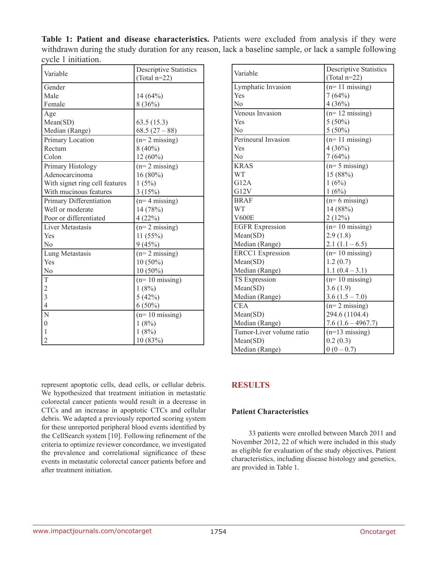**Table 1: Patient and disease characteristics.** Patients were excluded from analysis if they were withdrawn during the study duration for any reason, lack a baseline sample, or lack a sample following cycle 1 initiation.

| Variable                       | <b>Descriptive Statistics</b> |  |
|--------------------------------|-------------------------------|--|
|                                | $(Total n=22)$                |  |
| Gender                         |                               |  |
| Male                           | 14 (64%)                      |  |
| Female                         | 8(36%)                        |  |
| Age                            |                               |  |
| Mean(SD)                       | 63.5(15.3)                    |  |
| Median (Range)                 | $68.5(27-88)$                 |  |
| Primary Location               | $(n=2 \text{ missing})$       |  |
| Rectum                         | $8(40\%)$                     |  |
| Colon                          | $12(60\%)$                    |  |
| Primary Histology              | $(n=2 \text{ missing})$       |  |
| Adenocarcinoma                 | $16(80\%)$                    |  |
| With signet ring cell features | 1(5%)                         |  |
| With mucinous features         | 3(15%)                        |  |
| Primary Differentiation        | $(n=4$ missing)               |  |
| Well or moderate               | 14 (78%)                      |  |
| Poor or differentiated         | 4(22%)                        |  |
| <b>Liver Metastasis</b>        | $(n=2 \text{ missing})$       |  |
| Yes                            | 11(55%)                       |  |
| No                             | 9(45%)                        |  |
| Lung Metastasis                | $(n=2 \text{ missing})$       |  |
| Yes                            | $10(50\%)$                    |  |
| No                             | $10(50\%)$                    |  |
| T                              | $(n=10 \text{ missing})$      |  |
| $\frac{2}{3}$                  | 1(8%)                         |  |
|                                | 5(42%)                        |  |
| $\overline{4}$                 | $6(50\%)$                     |  |
| N                              | $(n=10 \text{ missing})$      |  |
| $\boldsymbol{0}$               | 1(8%)                         |  |
| $\mathbf{1}$                   | 1(8%)                         |  |
| $\overline{c}$                 | 10 (83%)                      |  |

| Variable                 | <b>Descriptive Statistics</b> |  |  |
|--------------------------|-------------------------------|--|--|
|                          | $(Total n=22)$                |  |  |
| Lymphatic Invasion       | $(n=11 \text{ missing})$      |  |  |
| Yes                      | 7(64%)                        |  |  |
| N <sub>0</sub>           | 4(36%)                        |  |  |
| Venous Invasion          | $(n=12 \text{ missing})$      |  |  |
| Yes                      | $5(50\%)$                     |  |  |
| N <sub>0</sub>           | $5(50\%)$                     |  |  |
| Perineural Invasion      | $(n=11 \text{ missing})$      |  |  |
| Yes                      | 4(36%)                        |  |  |
| No                       | 7(64%)                        |  |  |
| <b>KRAS</b>              | $(n=5 \text{ missing})$       |  |  |
| <b>WT</b>                | 15 (88%)                      |  |  |
| G12A                     | 1(6%)                         |  |  |
| G12V                     | 1(6%)                         |  |  |
| <b>BRAF</b>              | $(n=6 \text{ missing})$       |  |  |
| <b>WT</b>                | 14 (88%)                      |  |  |
| <b>V600E</b>             | 2(12%)                        |  |  |
| <b>EGFR</b> Expression   | $(n=10 \text{ missing})$      |  |  |
| Mean(SD)                 | 2.9(1.8)                      |  |  |
| Median (Range)           | $2.1(1.1-6.5)$                |  |  |
| <b>ERCC1</b> Expression  | $(n=10 \text{ missing})$      |  |  |
| Mean(SD)                 | 1.2(0.7)                      |  |  |
| Median (Range)           | $1.1(0.4-3.1)$                |  |  |
| TS Expression            | $(n=10 \text{ missing})$      |  |  |
| Mean(SD)                 | 3.6(1.9)                      |  |  |
| Median (Range)           | $3.6(1.5 - 7.0)$              |  |  |
| <b>CEA</b>               | $(n=2 \text{ missing})$       |  |  |
| Mean(SD)                 | 294.6 (1104.4)                |  |  |
| Median (Range)           | $7.6(1.6 - 4967.7)$           |  |  |
| Tumor-Liver volume ratio | $(n=13 \text{ missing})$      |  |  |
| Mean(SD)                 | 0.2(0.3)                      |  |  |
| Median (Range)           | $0(0-0.7)$                    |  |  |

represent apoptotic cells, dead cells, or cellular debris. We hypothesized that treatment initiation in metastatic colorectal cancer patients would result in a decrease in CTCs and an increase in apoptotic CTCs and cellular debris. We adapted a previously reported scoring system for these unreported peripheral blood events identified by the CellSearch system [10]. Following refinement of the criteria to optimize reviewer concordance, we investigated the prevalence and correlational significance of these events in metastatic colorectal cancer patients before and after treatment initiation.

# **RESULTS**

# **Patient Characteristics**

33 patients were enrolled between March 2011 and November 2012, 22 of which were included in this study as eligible for evaluation of the study objectives. Patient characteristics, including disease histology and genetics, are provided in Table 1.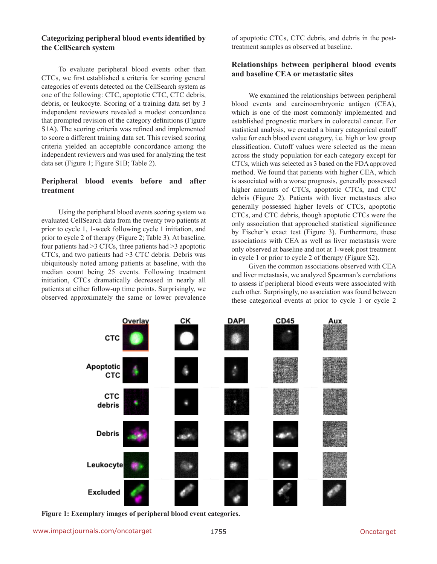#### **Categorizing peripheral blood events identified by the CellSearch system**

To evaluate peripheral blood events other than CTCs, we first established a criteria for scoring general categories of events detected on the CellSearch system as one of the following: CTC, apoptotic CTC, CTC debris, debris, or leukocyte. Scoring of a training data set by 3 independent reviewers revealed a modest concordance that prompted revision of the category definitions (Figure S1A). The scoring criteria was refined and implemented to score a different training data set. This revised scoring criteria yielded an acceptable concordance among the independent reviewers and was used for analyzing the test data set (Figure 1; Figure S1B; Table 2).

#### **Peripheral blood events before and after treatment**

Using the peripheral blood events scoring system we evaluated CellSearch data from the twenty two patients at prior to cycle 1, 1-week following cycle 1 initiation, and prior to cycle 2 of therapy (Figure 2; Table 3). At baseline, four patients had >3 CTCs, three patients had >3 apoptotic CTCs, and two patients had >3 CTC debris. Debris was ubiquitously noted among patients at baseline, with the median count being 25 events. Following treatment initiation, CTCs dramatically decreased in nearly all patients at either follow-up time points. Surprisingly, we observed approximately the same or lower prevalence

of apoptotic CTCs, CTC debris, and debris in the posttreatment samples as observed at baseline.

#### **Relationships between peripheral blood events and baseline CEA or metastatic sites**

We examined the relationships between peripheral blood events and carcinoembryonic antigen (CEA), which is one of the most commonly implemented and established prognostic markers in colorectal cancer. For statistical analysis, we created a binary categorical cutoff value for each blood event category, i.e. high or low group classification. Cutoff values were selected as the mean across the study population for each category except for CTCs, which was selected as 3 based on the FDA approved method. We found that patients with higher CEA, which is associated with a worse prognosis, generally possessed higher amounts of CTCs, apoptotic CTCs, and CTC debris (Figure 2). Patients with liver metastases also generally possessed higher levels of CTCs, apoptotic CTCs, and CTC debris, though apoptotic CTCs were the only association that approached statistical significance by Fischer's exact test (Figure 3). Furthermore, these associations with CEA as well as liver metastasis were only observed at baseline and not at 1-week post treatment in cycle 1 or prior to cycle 2 of therapy (Figure S2).

Given the common associations observed with CEA and liver metastasis, we analyzed Spearman's correlations to assess if peripheral blood events were associated with each other. Surprisingly, no association was found between these categorical events at prior to cycle 1 or cycle 2



**Figure 1: Exemplary images of peripheral blood event categories.**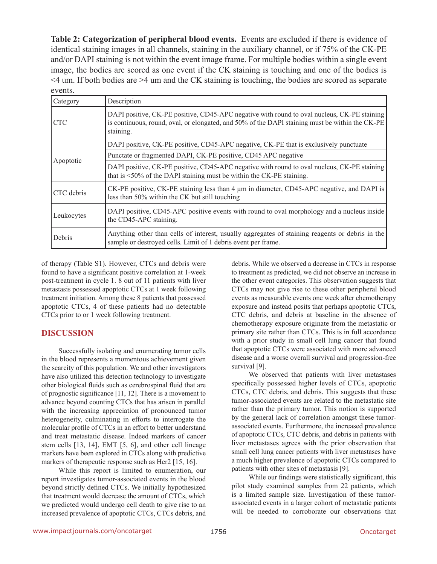**Table 2: Categorization of peripheral blood events.** Events are excluded if there is evidence of identical staining images in all channels, staining in the auxiliary channel, or if 75% of the CK-PE and/or DAPI staining is not within the event image frame. For multiple bodies within a single event image, the bodies are scored as one event if the CK staining is touching and one of the bodies is <4 um. If both bodies are >4 um and the CK staining is touching, the bodies are scored as separate events.

| Category   | Description                                                                                                                                                                                                 |
|------------|-------------------------------------------------------------------------------------------------------------------------------------------------------------------------------------------------------------|
| <b>CTC</b> | DAPI positive, CK-PE positive, CD45-APC negative with round to oval nucleus, CK-PE staining<br>is continuous, round, oval, or elongated, and 50% of the DAPI staining must be within the CK-PE<br>staining. |
|            | DAPI positive, CK-PE positive, CD45-APC negative, CK-PE that is exclusively punctuate                                                                                                                       |
| Apoptotic  | Punctate or fragmented DAPI, CK-PE positive, CD45 APC negative                                                                                                                                              |
|            | DAPI positive, CK-PE positive, CD45-APC negative with round to oval nucleus, CK-PE staining<br>that is $\leq$ 50% of the DAPI staining must be within the CK-PE staining.                                   |
| CTC debris | CK-PE positive, CK-PE staining less than 4 µm in diameter, CD45-APC negative, and DAPI is<br>less than 50% within the CK but still touching                                                                 |
| Leukocytes | DAPI positive, CD45-APC positive events with round to oval morphology and a nucleus inside<br>the CD45-APC staining.                                                                                        |
| Debris     | Anything other than cells of interest, usually aggregates of staining reagents or debris in the<br>sample or destroyed cells. Limit of 1 debris event per frame.                                            |

of therapy (Table S1). However, CTCs and debris were found to have a significant positive correlation at 1-week post-treatment in cycle 1. 8 out of 11 patients with liver metastasis possessed apoptotic CTCs at 1 week following treatment initiation. Among these 8 patients that possessed apoptotic CTCs, 4 of these patients had no detectable CTCs prior to or 1 week following treatment.

# **DISCUSSION**

Successfully isolating and enumerating tumor cells in the blood represents a momentous achievement given the scarcity of this population. We and other investigators have also utilized this detection technology to investigate other biological fluids such as cerebrospinal fluid that are of prognostic significance [11, 12]. There is a movement to advance beyond counting CTCs that has arisen in parallel with the increasing appreciation of pronounced tumor heterogeneity, culminating in efforts to interrogate the molecular profile of CTCs in an effort to better understand and treat metastatic disease. Indeed markers of cancer stem cells [13, 14], EMT [5, 6], and other cell lineage markers have been explored in CTCs along with predictive markers of therapeutic response such as Her2 [15, 16].

While this report is limited to enumeration, our report investigates tumor-associated events in the blood beyond strictly defined CTCs. We initially hypothesized that treatment would decrease the amount of CTCs, which we predicted would undergo cell death to give rise to an increased prevalence of apoptotic CTCs, CTCs debris, and debris. While we observed a decrease in CTCs in response to treatment as predicted, we did not observe an increase in the other event categories. This observation suggests that CTCs may not give rise to these other peripheral blood events as measurable events one week after chemotherapy exposure and instead posits that perhaps apoptotic CTCs, CTC debris, and debris at baseline in the absence of chemotherapy exposure originate from the metastatic or primary site rather than CTCs. This is in full accordance with a prior study in small cell lung cancer that found that apoptotic CTCs were associated with more advanced disease and a worse overall survival and progression-free survival [9].

We observed that patients with liver metastases specifically possessed higher levels of CTCs, apoptotic CTCs, CTC debris, and debris. This suggests that these tumor-associated events are related to the metastatic site rather than the primary tumor. This notion is supported by the general lack of correlation amongst these tumorassociated events. Furthermore, the increased prevalence of apoptotic CTCs, CTC debris, and debris in patients with liver metastases agrees with the prior observation that small cell lung cancer patients with liver metastases have a much higher prevalence of apoptotic CTCs compared to patients with other sites of metastasis [9].

While our findings were statistically significant, this pilot study examined samples from 22 patients, which is a limited sample size. Investigation of these tumorassociated events in a larger cohort of metastatic patients will be needed to corroborate our observations that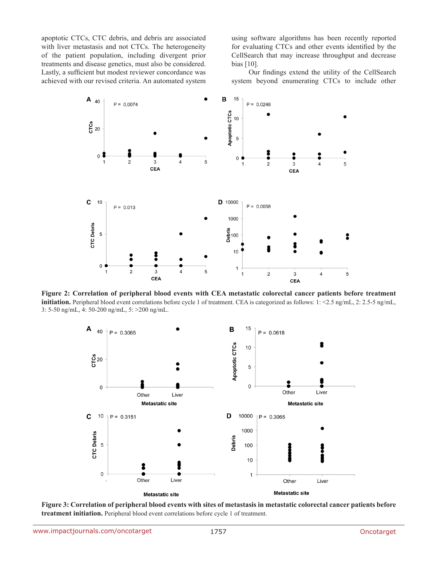apoptotic CTCs, CTC debris, and debris are associated with liver metastasis and not CTCs. The heterogeneity of the patient population, including divergent prior treatments and disease genetics, must also be considered. Lastly, a sufficient but modest reviewer concordance was achieved with our revised criteria. An automated system using software algorithms has been recently reported for evaluating CTCs and other events identified by the CellSearch that may increase throughput and decrease bias [10].

Our findings extend the utility of the CellSearch system beyond enumerating CTCs to include other



**Figure 2: Correlation of peripheral blood events with CEA metastatic colorectal cancer patients before treatment initiation.** Peripheral blood event correlations before cycle 1 of treatment. CEA is categorized as follows: 1: <2.5 ng/mL, 2: 2.5-5 ng/mL, 3: 5-50 ng/mL, 4: 50-200 ng/mL, 5: >200 ng/mL.



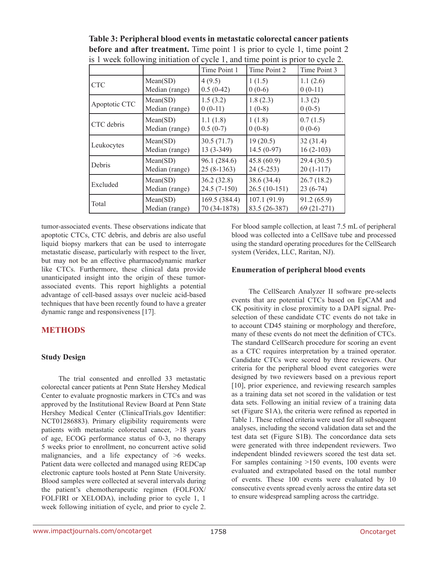|               |                | Time Point 1  | Time Point 2   | Time Point 3 |
|---------------|----------------|---------------|----------------|--------------|
| <b>CTC</b>    | Mean(SD)       | 4(9.5)        | 1(1.5)         | 1.1(2.6)     |
|               | Median (range) | $0.5(0-42)$   | $0(0-6)$       | $0(0-11)$    |
| Apoptotic CTC | Mean(SD)       | 1.5(3.2)      | 1.8(2.3)       | 1.3(2)       |
|               | Median (range) | $0(0-11)$     | $1(0-8)$       | $0(0-5)$     |
| CTC debris    | Mean(SD)       | 1.1(1.8)      | 1(1.8)         | 0.7(1.5)     |
|               | Median (range) | $0.5(0-7)$    | $0(0-8)$       | $0(0-6)$     |
| Leukocytes    | Mean(SD)       | 30.5(71.7)    | 19(20.5)       | 32(31.4)     |
|               | Median (range) | $13(3-349)$   | $14.5(0-97)$   | $16(2-103)$  |
| Debris        | Mean(SD)       | 96.1 (284.6)  | 45.8(60.9)     | 29.4(30.5)   |
|               | Median (range) | $25(8-1363)$  | $24(5-253)$    | $20(1-117)$  |
| Excluded      | Mean(SD)       | 36.2(32.8)    | 38.6 (34.4)    | 26.7(18.2)   |
|               | Median (range) | $24.5(7-150)$ | $26.5(10-151)$ | $23(6-74)$   |
| Total         | Mean(SD)       | 169.5 (384.4) | 107.1(91.9)    | 91.2(65.9)   |
|               | Median (range) | 70 (34-1878)  | 83.5 (26-387)  | 69 (21-271)  |

**Table 3: Peripheral blood events in metastatic colorectal cancer patients before and after treatment.** Time point 1 is prior to cycle 1, time point 2 is 1 week following initiation of cycle 1, and time point is prior to cycle 2.

tumor-associated events. These observations indicate that apoptotic CTCs, CTC debris, and debris are also useful liquid biopsy markers that can be used to interrogate metastatic disease, particularly with respect to the liver, but may not be an effective pharmacodynamic marker like CTCs. Furthermore, these clinical data provide unanticipated insight into the origin of these tumorassociated events. This report highlights a potential advantage of cell-based assays over nucleic acid-based techniques that have been recently found to have a greater dynamic range and responsiveness [17].

# **METHODS**

# **Study Design**

The trial consented and enrolled 33 metastatic colorectal cancer patients at Penn State Hershey Medical Center to evaluate prognostic markers in CTCs and was approved by the Institutional Review Board at Penn State Hershey Medical Center (ClinicalTrials.gov Identifier: NCT01286883). Primary eligibility requirements were patients with metastatic colorectal cancer, >18 years of age, ECOG performance status of 0-3, no therapy 5 weeks prior to enrollment, no concurrent active solid malignancies, and a life expectancy of >6 weeks. Patient data were collected and managed using REDCap electronic capture tools hosted at Penn State University. Blood samples were collected at several intervals during the patient's chemotherapeutic regimen (FOLFOX/ FOLFIRI or XELODA), including prior to cycle 1, 1 week following initiation of cycle, and prior to cycle 2.

For blood sample collection, at least 7.5 mL of peripheral blood was collected into a CellSave tube and processed using the standard operating procedures for the CellSearch system (Veridex, LLC, Raritan, NJ).

#### **Enumeration of peripheral blood events**

The CellSearch Analyzer II software pre-selects events that are potential CTCs based on EpCAM and CK positivity in close proximity to a DAPI signal. Preselection of these candidate CTC events do not take in to account CD45 staining or morphology and therefore, many of these events do not meet the definition of CTCs. The standard CellSearch procedure for scoring an event as a CTC requires interpretation by a trained operator. Candidate CTCs were scored by three reviewers. Our criteria for the peripheral blood event categories were designed by two reviewers based on a previous report [10], prior experience, and reviewing research samples as a training data set not scored in the validation or test data sets. Following an initial review of a training data set (Figure S1A), the criteria were refined as reported in Table 1. These refined criteria were used for all subsequent analyses, including the second validation data set and the test data set (Figure S1B). The concordance data sets were generated with three independent reviewers. Two independent blinded reviewers scored the test data set. For samples containing >150 events, 100 events were evaluated and extrapolated based on the total number of events. These 100 events were evaluated by 10 consecutive events spread evenly across the entire data set to ensure widespread sampling across the cartridge.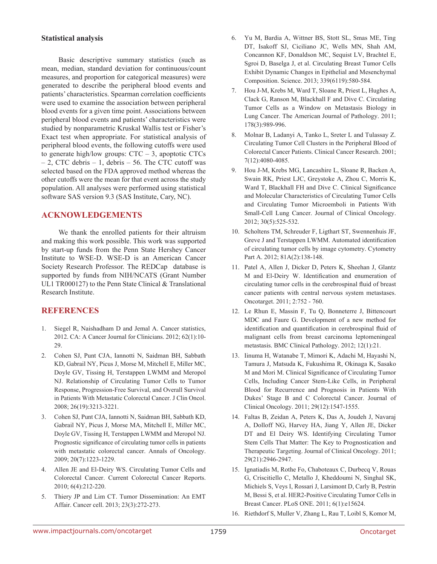#### **Statistical analysis**

Basic descriptive summary statistics (such as mean, median, standard deviation for continuous/count measures, and proportion for categorical measures) were generated to describe the peripheral blood events and patients' characteristics. Spearman correlation coefficients were used to examine the association between peripheral blood events for a given time point. Associations between peripheral blood events and patients' characteristics were studied by nonparametric Kruskal Wallis test or Fisher's Exact test when appropriate. For statistical analysis of peripheral blood events, the following cutoffs were used to generate high/low groups:  $CTC - 3$ , apoptotic CTCs – 2, CTC debris – 1, debris – 56. The CTC cutoff was selected based on the FDA approved method whereas the other cutoffs were the mean for that event across the study population. All analyses were performed using statistical software SAS version 9.3 (SAS Institute, Cary, NC).

# **ACKNOWLEDGEMENTS**

We thank the enrolled patients for their altruism and making this work possible. This work was supported by start-up funds from the Penn State Hershey Cancer Institute to WSE-D. WSE-D is an American Cancer Society Research Professor. The REDCap database is supported by funds from NIH/NCATS (Grant Number UL1 TR000127) to the Penn State Clinical & Translational Research Institute.

# **REFERENCES**

- 1. Siegel R, Naishadham D and Jemal A. Cancer statistics, 2012. CA: A Cancer Journal for Clinicians. 2012; 62(1):10- 29.
- 2. Cohen SJ, Punt CJA, Iannotti N, Saidman BH, Sabbath KD, Gabrail NY, Picus J, Morse M, Mitchell E, Miller MC, Doyle GV, Tissing H, Terstappen LWMM and Meropol NJ. Relationship of Circulating Tumor Cells to Tumor Response, Progression-Free Survival, and Overall Survival in Patients With Metastatic Colorectal Cancer. J Clin Oncol. 2008; 26(19):3213-3221.
- 3. Cohen SJ, Punt CJA, Iannotti N, Saidman BH, Sabbath KD, Gabrail NY, Picus J, Morse MA, Mitchell E, Miller MC, Doyle GV, Tissing H, Terstappen LWMM and Meropol NJ. Prognostic significance of circulating tumor cells in patients with metastatic colorectal cancer. Annals of Oncology. 2009; 20(7):1223-1229.
- 4. Allen JE and El-Deiry WS. Circulating Tumor Cells and Colorectal Cancer. Current Colorectal Cancer Reports. 2010; 6(4):212-220.
- 5. Thiery JP and Lim CT. Tumor Dissemination: An EMT Affair. Cancer cell. 2013; 23(3):272-273.
- 6. Yu M, Bardia A, Wittner BS, Stott SL, Smas ME, Ting DT, Isakoff SJ, Ciciliano JC, Wells MN, Shah AM, Concannon KF, Donaldson MC, Sequist LV, Brachtel E, Sgroi D, Baselga J, et al. Circulating Breast Tumor Cells Exhibit Dynamic Changes in Epithelial and Mesenchymal Composition. Science. 2013; 339(6119):580-584.
- 7. Hou J-M, Krebs M, Ward T, Sloane R, Priest L, Hughes A, Clack G, Ranson M, Blackhall F and Dive C. Circulating Tumor Cells as a Window on Metastasis Biology in Lung Cancer. The American Journal of Pathology. 2011; 178(3):989-996.
- 8. Molnar B, Ladanyi A, Tanko L, Sreter L and Tulassay Z. Circulating Tumor Cell Clusters in the Peripheral Blood of Colorectal Cancer Patients. Clinical Cancer Research. 2001; 7(12):4080-4085.
- 9. Hou J-M, Krebs MG, Lancashire L, Sloane R, Backen A, Swain RK, Priest LJC, Greystoke A, Zhou C, Morris K, Ward T, Blackhall FH and Dive C. Clinical Significance and Molecular Characteristics of Circulating Tumor Cells and Circulating Tumor Microemboli in Patients With Small-Cell Lung Cancer. Journal of Clinical Oncology. 2012; 30(5):525-532.
- 10. Scholtens TM, Schreuder F, Ligthart ST, Swennenhuis JF, Greve J and Terstappen LWMM. Automated identification of circulating tumor cells by image cytometry. Cytometry Part A. 2012; 81A(2):138-148.
- 11. Patel A, Allen J, Dicker D, Peters K, Sheehan J, Glantz M and El-Deiry W. Identification and enumeration of circulating tumor cells in the cerebrospinal fluid of breast cancer patients with central nervous system metastases. Oncotarget. 2011; 2:752 - 760.
- 12. Le Rhun E, Massin F, Tu Q, Bonneterre J, Bittencourt MDC and Faure G. Development of a new method for identification and quantification in cerebrospinal fluid of malignant cells from breast carcinoma leptomeningeal metastasis. BMC Clinical Pathology. 2012; 12(1):21.
- 13. Iinuma H, Watanabe T, Mimori K, Adachi M, Hayashi N, Tamura J, Matsuda K, Fukushima R, Okinaga K, Sasako M and Mori M. Clinical Significance of Circulating Tumor Cells, Including Cancer Stem-Like Cells, in Peripheral Blood for Recurrence and Prognosis in Patients With Dukes' Stage B and C Colorectal Cancer. Journal of Clinical Oncology. 2011; 29(12):1547-1555.
- 14. Faltas B, Zeidan A, Peters K, Das A, Joudeh J, Navaraj A, Dolloff NG, Harvey HA, Jiang Y, Allen JE, Dicker DT and El Deiry WS. Identifying Circulating Tumor Stem Cells That Matter: The Key to Prognostication and Therapeutic Targeting. Journal of Clinical Oncology. 2011; 29(21):2946-2947.
- 15. Ignatiadis M, Rothe Fo, Chaboteaux C, Durbecq V, Rouas G, Criscitiello C, Metallo J, Kheddoumi N, Singhal SK, Michiels S, Veys I, Rossari J, Larsimont D, Carly B, Pestrin M, Bessi S, et al. HER2-Positive Circulating Tumor Cells in Breast Cancer. PLoS ONE. 2011; 6(1):e15624.
- 16. Riethdorf S, Muller V, Zhang L, Rau T, Loibl S, Komor M,